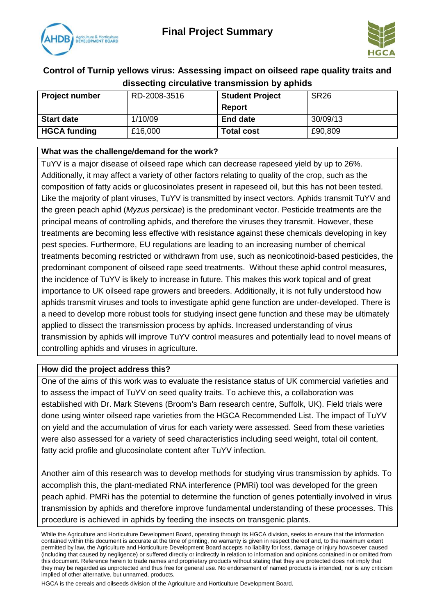



## **Control of Turnip yellows virus: Assessing impact on oilseed rape quality traits and dissecting circulative transmission by aphids**

| <b>Project number</b> | RD-2008-3516 | <b>Student Project</b> | <b>SR26</b> |
|-----------------------|--------------|------------------------|-------------|
|                       |              | Report                 |             |
| <b>Start date</b>     | 1/10/09      | <b>End date</b>        | 30/09/13    |
| <b>HGCA funding</b>   | £16,000      | <b>Total cost</b>      | £90,809     |

### **What was the challenge/demand for the work?**

TuYV is a major disease of oilseed rape which can decrease rapeseed yield by up to 26%. Additionally, it may affect a variety of other factors relating to quality of the crop, such as the composition of fatty acids or glucosinolates present in rapeseed oil, but this has not been tested. Like the majority of plant viruses, TuYV is transmitted by insect vectors. Aphids transmit TuYV and the green peach aphid (*Myzus persicae*) is the predominant vector. Pesticide treatments are the principal means of controlling aphids, and therefore the viruses they transmit. However, these treatments are becoming less effective with resistance against these chemicals developing in key pest species. Furthermore, EU regulations are leading to an increasing number of chemical treatments becoming restricted or withdrawn from use, such as neonicotinoid-based pesticides, the predominant component of oilseed rape seed treatments. Without these aphid control measures, the incidence of TuYV is likely to increase in future. This makes this work topical and of great importance to UK oilseed rape growers and breeders. Additionally, it is not fully understood how aphids transmit viruses and tools to investigate aphid gene function are under-developed. There is a need to develop more robust tools for studying insect gene function and these may be ultimately applied to dissect the transmission process by aphids. Increased understanding of virus transmission by aphids will improve TuYV control measures and potentially lead to novel means of controlling aphids and viruses in agriculture.

#### **How did the project address this?**

One of the aims of this work was to evaluate the resistance status of UK commercial varieties and to assess the impact of TuYV on seed quality traits. To achieve this, a collaboration was established with Dr. Mark Stevens (Broom's Barn research centre, Suffolk, UK). Field trials were done using winter oilseed rape varieties from the HGCA Recommended List. The impact of TuYV on yield and the accumulation of virus for each variety were assessed. Seed from these varieties were also assessed for a variety of seed characteristics including seed weight, total oil content, fatty acid profile and glucosinolate content after TuYV infection.

Another aim of this research was to develop methods for studying virus transmission by aphids. To accomplish this, the plant-mediated RNA interference (PMRi) tool was developed for the green peach aphid. PMRi has the potential to determine the function of genes potentially involved in virus transmission by aphids and therefore improve fundamental understanding of these processes. This procedure is achieved in aphids by feeding the insects on transgenic plants.

HGCA is the cereals and oilseeds division of the Agriculture and Horticulture Development Board.

While the Agriculture and Horticulture Development Board, operating through its HGCA division, seeks to ensure that the information contained within this document is accurate at the time of printing, no warranty is given in respect thereof and, to the maximum extent permitted by law, the Agriculture and Horticulture Development Board accepts no liability for loss, damage or injury howsoever caused (including that caused by negligence) or suffered directly or indirectly in relation to information and opinions contained in or omitted from this document. Reference herein to trade names and proprietary products without stating that they are protected does not imply that they may be regarded as unprotected and thus free for general use. No endorsement of named products is intended, nor is any criticism implied of other alternative, but unnamed, products.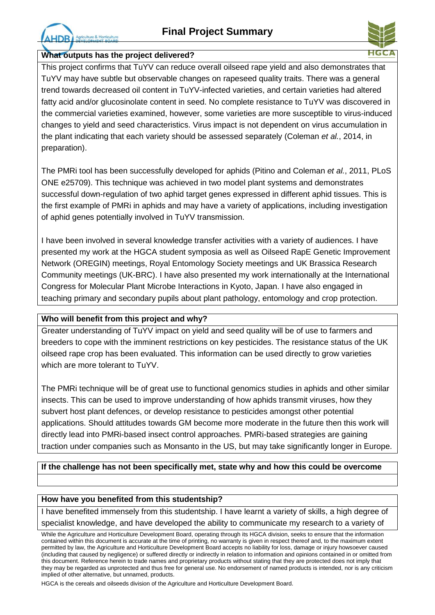re & Horticult



#### **What outputs has the project delivered?**

This project confirms that TuYV can reduce overall oilseed rape yield and also demonstrates that TuYV may have subtle but observable changes on rapeseed quality traits. There was a general trend towards decreased oil content in TuYV-infected varieties, and certain varieties had altered fatty acid and/or glucosinolate content in seed. No complete resistance to TuYV was discovered in the commercial varieties examined, however, some varieties are more susceptible to virus-induced changes to yield and seed characteristics. Virus impact is not dependent on virus accumulation in the plant indicating that each variety should be assessed separately (Coleman *et al.*, 2014, in preparation).

The PMRi tool has been successfully developed for aphids (Pitino and Coleman *et al.*, 2011, PLoS ONE e25709). This technique was achieved in two model plant systems and demonstrates successful down-regulation of two aphid target genes expressed in different aphid tissues. This is the first example of PMRi in aphids and may have a variety of applications, including investigation of aphid genes potentially involved in TuYV transmission.

I have been involved in several knowledge transfer activities with a variety of audiences. I have presented my work at the HGCA student symposia as well as Oilseed RapE Genetic Improvement Network (OREGIN) meetings, Royal Entomology Society meetings and UK Brassica Research Community meetings (UK-BRC). I have also presented my work internationally at the International Congress for Molecular Plant Microbe Interactions in Kyoto, Japan. I have also engaged in teaching primary and secondary pupils about plant pathology, entomology and crop protection.

#### **Who will benefit from this project and why?**

Greater understanding of TuYV impact on yield and seed quality will be of use to farmers and breeders to cope with the imminent restrictions on key pesticides. The resistance status of the UK oilseed rape crop has been evaluated. This information can be used directly to grow varieties which are more tolerant to TuYV.

The PMRi technique will be of great use to functional genomics studies in aphids and other similar insects. This can be used to improve understanding of how aphids transmit viruses, how they subvert host plant defences, or develop resistance to pesticides amongst other potential applications. Should attitudes towards GM become more moderate in the future then this work will directly lead into PMRi-based insect control approaches. PMRi-based strategies are gaining traction under companies such as Monsanto in the US, but may take significantly longer in Europe.

## **If the challenge has not been specifically met, state why and how this could be overcome**

#### **How have you benefited from this studentship?**

I have benefited immensely from this studentship. I have learnt a variety of skills, a high degree of specialist knowledge, and have developed the ability to communicate my research to a variety of

HGCA is the cereals and oilseeds division of the Agriculture and Horticulture Development Board.

While the Agriculture and Horticulture Development Board, operating through its HGCA division, seeks to ensure that the information contained within this document is accurate at the time of printing, no warranty is given in respect thereof and, to the maximum extent permitted by law, the Agriculture and Horticulture Development Board accepts no liability for loss, damage or injury howsoever caused (including that caused by negligence) or suffered directly or indirectly in relation to information and opinions contained in or omitted from this document. Reference herein to trade names and proprietary products without stating that they are protected does not imply that they may be regarded as unprotected and thus free for general use. No endorsement of named products is intended, nor is any criticism implied of other alternative, but unnamed, products.